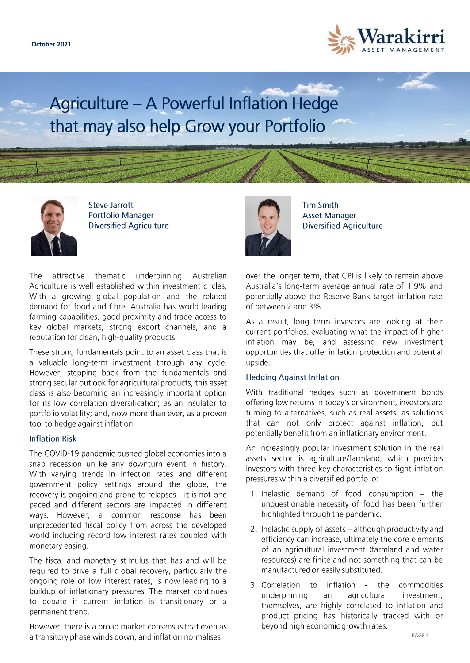

Agriculture - A Powerful Inflation Hedge that may also help Grow your Portfolio



**Steve Jarrott Portfolio Manager Diversified Agriculture** 

attractive thematic underpinning Australian The Agriculture is well established within investment circles. With a growing global population and the related demand for food and fibre, Australia has world leading farming capabilities, good proximity and trade access to key global markets, strong export channels, and a reputation for clean, high-quality products.

These strong fundamentals point to an asset class that is a valuable long-term investment through any cycle. However, stepping back from the fundamentals and strong secular outlook for agricultural products, this asset class is also becoming an increasingly important option for its low correlation diversification; as an insulator to portfolio volatility; and, now more than ever, as a proven tool to hedge against inflation.

### **Inflation Risk**

The COVID-19 pandemic pushed global economies into a snap recession unlike any downturn event in history. With varying trends in infection rates and different government policy settings around the globe, the recovery is ongoing and prone to relapses - it is not one paced and different sectors are impacted in different ways. However, a common response has been unprecedented fiscal policy from across the developed world including record low interest rates coupled with monetary easing.

The fiscal and monetary stimulus that has and will be required to drive a full global recovery, particularly the ongoing role of low interest rates, is now leading to a buildup of inflationary pressures. The market continues to debate if current inflation is transitionary or a permanent trend.

However, there is a broad market consensus that even as a transitory phase winds down, and inflation normalises



**Tim Smith Asset Manager Diversified Agriculture** 

over the longer term, that CPI is likely to remain above Australia's long-term average annual rate of 1.9% and potentially above the Reserve Bank target inflation rate of between 2 and 3%.

As a result, long term investors are looking at their current portfolios, evaluating what the impact of higher inflation may be, and assessing new investment opportunities that offer inflation protection and potential upside.

# **Hedging Against Inflation**

With traditional hedges such as government bonds offering low returns in today's environment, investors are turning to alternatives, such as real assets, as solutions that can not only protect against inflation, but potentially benefit from an inflationary environment.

An increasingly popular investment solution in the real assets sector is agriculture/farmland, which provides investors with three key characteristics to fight inflation pressures within a diversified portfolio:

- 1. Inelastic demand of food consumption the unquestionable necessity of food has been further highlighted through the pandemic.
- 2. Inelastic supply of assets although productivity and efficiency can increase, ultimately the core elements of an agricultural investment (farmland and water resources) are finite and not something that can be manufactured or easily substituted.
- inflation the 3. Correlation to commodities underpinning agricultural an investment. themselves, are highly correlated to inflation and product pricing has historically tracked with or beyond high economic growth rates.